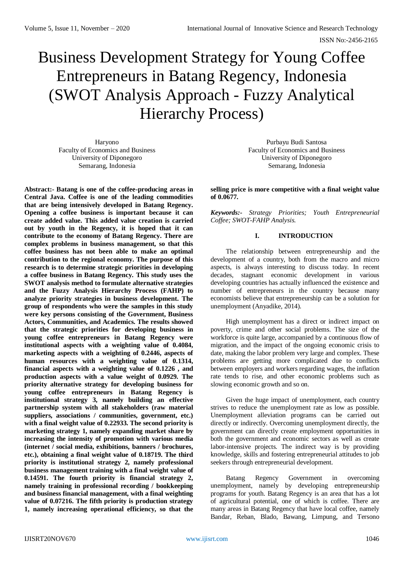# Business Development Strategy for Young Coffee Entrepreneurs in Batang Regency, Indonesia (SWOT Analysis Approach - Fuzzy Analytical Hierarchy Process)

Haryono Faculty of Economics and Business University of Diponegoro Semarang, Indonesia

**Abstract:- Batang is one of the coffee-producing areas in Central Java. Coffee is one of the leading commodities that are being intensively developed in Batang Regency. Opening a coffee business is important because it can create added value. This added value creation is carried out by youth in the Regency, it is hoped that it can contribute to the economy of Batang Regency. There are complex problems in business management, so that this coffee business has not been able to make an optimal contribution to the regional economy. The purpose of this research is to determine strategic priorities in developing a coffee business in Batang Regency. This study uses the SWOT analysis method to formulate alternative strategies and the Fuzzy Analysis Hierarchy Process (FAHP) to analyze priority strategies in business development. The group of respondents who were the samples in this study were key persons consisting of the Government, Business Actors, Communities, and Academics. The results showed that the strategic priorities for developing business in young coffee entrepreneurs in Batang Regency were institutional aspects with a weighting value of 0.4084, marketing aspects with a weighting of 0.2446, aspects of human resources with a weighting value of 0.1314, financial aspects with a weighting value of 0.1226 , and production aspects with a value weight of 0.0929. The priority alternative strategy for developing business for young coffee entrepreneurs in Batang Regency is institutional strategy 3, namely building an effective partnership system with all stakeholders (raw material suppliers, associations / communities, government, etc.) with a final weight value of 0.22933. The second priority is marketing strategy 1, namely expanding market share by increasing the intensity of promotion with various media (internet / social media, exhibitions, banners / brochures, etc.), obtaining a final weight value of 0.18719. The third priority is institutional strategy 2, namely professional business management training with a final weight value of 0.14591. The fourth priority is financial strategy 2, namely training in professional recording / bookkeeping and business financial management, with a final weighting value of 0.07216. The fifth priority is production strategy 1, namely increasing operational efficiency, so that the** 

Purbayu Budi Santosa Faculty of Economics and Business University of Diponegoro Semarang, Indonesia

**selling price is more competitive with a final weight value of 0.0677.** 

*Keywords:- Strategy Priorities; Youth Entrepreneurial Coffee; SWOT-FAHP Analysis.*

# **I. INTRODUCTION**

The relationship between entrepreneurship and the development of a country, both from the macro and micro aspects, is always interesting to discuss today. In recent decades, stagnant economic development in various developing countries has actually influenced the existence and number of entrepreneurs in the country because many economists believe that entrepreneurship can be a solution for unemployment (Anyadike, 2014).

High unemployment has a direct or indirect impact on poverty, crime and other social problems. The size of the workforce is quite large, accompanied by a continuous flow of migration, and the impact of the ongoing economic crisis to date, making the labor problem very large and complex. These problems are getting more complicated due to conflicts between employers and workers regarding wages, the inflation rate tends to rise, and other economic problems such as slowing economic growth and so on.

Given the huge impact of unemployment, each country strives to reduce the unemployment rate as low as possible. Unemployment alleviation programs can be carried out directly or indirectly. Overcoming unemployment directly, the government can directly create employment opportunities in both the government and economic sectors as well as create labor-intensive projects. The indirect way is by providing knowledge, skills and fostering entrepreneurial attitudes to job seekers through entrepreneurial development.

Batang Regency Government in overcoming unemployment, namely by developing entrepreneurship programs for youth. Batang Regency is an area that has a lot of agricultural potential, one of which is coffee. There are many areas in Batang Regency that have local coffee, namely Bandar, Reban, Blado, Bawang, Limpung, and Tersono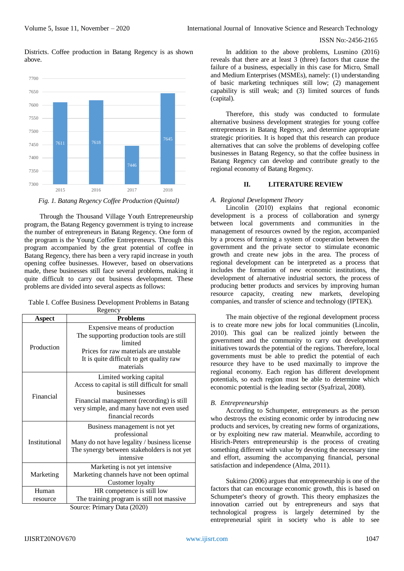Districts. Coffee production in Batang Regency is as shown above.



*Fig. 1. Batang Regency Coffee Production (Quintal)*

Through the Thousand Village Youth Entrepreneurship program, the Batang Regency government is trying to increase the number of entrepreneurs in Batang Regency. One form of the program is the Young Coffee Entrepreneurs. Through this program accompanied by the great potential of coffee in Batang Regency, there has been a very rapid increase in youth opening coffee businesses. However, based on observations made, these businesses still face several problems, making it quite difficult to carry out business development. These problems are divided into several aspects as follows:

Table I. Coffee Business Development Problems in Batang

| Regency                                                                                                     |                                                                                                                                                                                                                                                                                                                                                                                                                         |  |  |
|-------------------------------------------------------------------------------------------------------------|-------------------------------------------------------------------------------------------------------------------------------------------------------------------------------------------------------------------------------------------------------------------------------------------------------------------------------------------------------------------------------------------------------------------------|--|--|
| Aspect                                                                                                      | <b>Problems</b>                                                                                                                                                                                                                                                                                                                                                                                                         |  |  |
| Production                                                                                                  | Expensive means of production<br>The supporting production tools are still<br>limited<br>Prices for raw materials are unstable<br>It is quite difficult to get quality raw<br>materials                                                                                                                                                                                                                                 |  |  |
| Financial                                                                                                   | Limited working capital<br>Access to capital is still difficult for small<br>businesses<br>Financial management (recording) is still<br>very simple, and many have not even used<br>financial records                                                                                                                                                                                                                   |  |  |
| Institutional                                                                                               | Business management is not yet<br>professional<br>Many do not have legality / business license<br>The synergy between stakeholders is not yet<br>intensive                                                                                                                                                                                                                                                              |  |  |
| Marketing is not yet intensive<br>Marketing channels have not been optimal<br>Marketing<br>Customer loyalty |                                                                                                                                                                                                                                                                                                                                                                                                                         |  |  |
| Human<br>resource                                                                                           | HR competence is still low<br>The training program is still not massive<br>$\sim$<br>$\mathbf{D}$ $\mathbf{D}$ $\mathbf{D}$ $\mathbf{D}$ $\mathbf{D}$ $\mathbf{D}$ $\mathbf{D}$ $\mathbf{D}$ $\mathbf{D}$ $\mathbf{D}$ $\mathbf{D}$ $\mathbf{D}$ $\mathbf{D}$ $\mathbf{D}$ $\mathbf{D}$ $\mathbf{D}$ $\mathbf{D}$ $\mathbf{D}$ $\mathbf{D}$ $\mathbf{D}$ $\mathbf{D}$ $\mathbf{D}$ $\mathbf{D}$ $\mathbf{D}$ $\mathbf{$ |  |  |

Source: Primary Data (2020)

In addition to the above problems, Lusmino (2016) reveals that there are at least 3 (three) factors that cause the failure of a business, especially in this case for Micro, Small and Medium Enterprises (MSMEs), namely: (1) understanding of basic marketing techniques still low; (2) management capability is still weak; and (3) limited sources of funds (capital).

Therefore, this study was conducted to formulate alternative business development strategies for young coffee entrepreneurs in Batang Regency, and determine appropriate strategic priorities. It is hoped that this research can produce alternatives that can solve the problems of developing coffee businesses in Batang Regency, so that the coffee business in Batang Regency can develop and contribute greatly to the regional economy of Batang Regency.

# **II. LITERATURE REVIEW**

#### *A. Regional Development Theory*

Lincolin (2010) explains that regional economic development is a process of collaboration and synergy between local governments and communities in the management of resources owned by the region, accompanied by a process of forming a system of cooperation between the government and the private sector to stimulate economic growth and create new jobs in the area. The process of regional development can be interpreted as a process that includes the formation of new economic institutions, the development of alternative industrial sectors, the process of producing better products and services by improving human resource capacity, creating new markets, developing companies, and transfer of science and technology (IPTEK).

The main objective of the regional development process is to create more new jobs for local communities (Lincolin, 2010). This goal can be realized jointly between the government and the community to carry out development initiatives towards the potential of the regions. Therefore, local governments must be able to predict the potential of each resource they have to be used maximally to improve the regional economy. Each region has different development potentials, so each region must be able to determine which economic potential is the leading sector (Syafrizal, 2008).

#### *B. Entrepreneurship*

According to Schumpeter, entrepreneurs as the person who destroys the existing economic order by introducing new products and services, by creating new forms of organizations, or by exploiting new raw material. Meanwhile, according to Hisrich-Peters entrepreneurship is the process of creating something different with value by devoting the necessary time and effort, assuming the accompanying financial, personal satisfaction and independence (Alma, 2011).

Sukirno (2006) argues that entrepreneurship is one of the factors that can encourage economic growth, this is based on Schumpeter's theory of growth. This theory emphasizes the innovation carried out by entrepreneurs and says that technological progress is largely determined by the entrepreneurial spirit in society who is able to see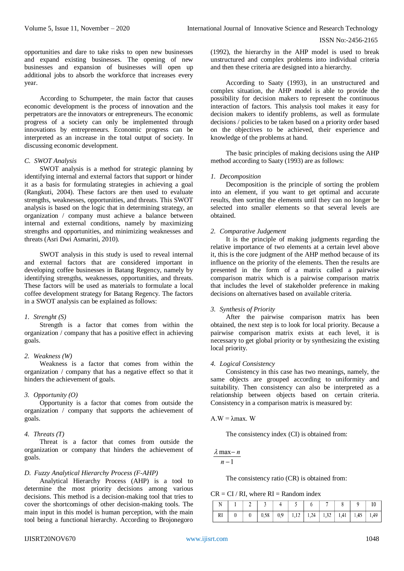opportunities and dare to take risks to open new businesses and expand existing businesses. The opening of new businesses and expansion of businesses will open up additional jobs to absorb the workforce that increases every year.

According to Schumpeter, the main factor that causes economic development is the process of innovation and the perpetrators are the innovators or entrepreneurs. The economic progress of a society can only be implemented through innovations by entrepreneurs. Economic progress can be interpreted as an increase in the total output of society. In discussing economic development.

# *C. SWOT Analysis*

SWOT analysis is a method for strategic planning by identifying internal and external factors that support or hinder it as a basis for formulating strategies in achieving a goal (Rangkuti, 2004). These factors are then used to evaluate strengths, weaknesses, opportunities, and threats. This SWOT analysis is based on the logic that in determining strategy, an organization / company must achieve a balance between internal and external conditions, namely by maximizing strengths and opportunities, and minimizing weaknesses and threats (Asri Dwi Asmarini, 2010).

SWOT analysis in this study is used to reveal internal and external factors that are considered important in developing coffee businesses in Batang Regency, namely by identifying strengths, weaknesses, opportunities, and threats. These factors will be used as materials to formulate a local coffee development strategy for Batang Regency. The factors in a SWOT analysis can be explained as follows:

#### *1. Strenght (S)*

Strength is a factor that comes from within the organization / company that has a positive effect in achieving goals.

# *2. Weakness (W)*

Weakness is a factor that comes from within the organization / company that has a negative effect so that it hinders the achievement of goals.

# *3. Opportunity (O)*

Opportunity is a factor that comes from outside the organization / company that supports the achievement of goals.

# *4. Threats (T)*

Threat is a factor that comes from outside the organization or company that hinders the achievement of goals.

# *D. Fuzzy Analytical Hierarchy Process (F-AHP)*

Analytical Hierarchy Process (AHP) is a tool to determine the most priority decisions among various decisions. This method is a decision-making tool that tries to cover the shortcomings of other decision-making tools. The main input in this model is human perception, with the main tool being a functional hierarchy. According to Brojonegoro

(1992), the hierarchy in the AHP model is used to break unstructured and complex problems into individual criteria and then these criteria are designed into a hierarchy.

According to Saaty (1993), in an unstructured and complex situation, the AHP model is able to provide the possibility for decision makers to represent the continuous interaction of factors. This analysis tool makes it easy for decision makers to identify problems, as well as formulate decisions / policies to be taken based on a priority order based on the objectives to be achieved, their experience and knowledge of the problems at hand.

The basic principles of making decisions using the AHP method according to Saaty (1993) are as follows:

# *1. Decomposition*

Decomposition is the principle of sorting the problem into an element, if you want to get optimal and accurate results, then sorting the elements until they can no longer be selected into smaller elements so that several levels are obtained.

# *2. Comparative Judgement*

It is the principle of making judgments regarding the relative importance of two elements at a certain level above it, this is the core judgment of the AHP method because of its influence on the priority of the elements. Then the results are presented in the form of a matrix called a pairwise comparison matrix which is a pairwise comparison matrix that includes the level of stakeholder preference in making decisions on alternatives based on available criteria.

# *3. Synthesis of Priority*

After the pairwise comparison matrix has been obtained, the next step is to look for local priority. Because a pairwise comparison matrix exists at each level, it is necessary to get global priority or by synthesizing the existing local priority.

# *4. Logical Consistency*

Consistency in this case has two meanings, namely, the same objects are grouped according to uniformity and suitability. Then consistency can also be interpreted as a relationship between objects based on certain criteria. Consistency in a comparison matrix is measured by:

#### A.W = λmax. W

The consistency index (CI) is obtained from:

 $\lambda$  max - n

 $n-1$ 

The consistency ratio (CR) is obtained from:

 $CR = CI / RI$ , where  $RI = Random$  index

|  |  |  |  |  | $\vert N \vert 1 \vert 2 \vert 3 \vert 4 \vert 5 \vert 6 \vert 7 \vert 8 \vert 9 \vert 10$ |  |
|--|--|--|--|--|--------------------------------------------------------------------------------------------|--|
|  |  |  |  |  | RI   0   0   0,58   0,9   1,12   1,24   1,32   1,41   1,45   1,49                          |  |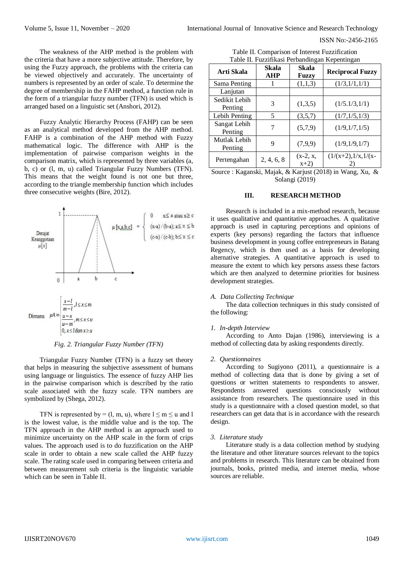The weakness of the AHP method is the problem with the criteria that have a more subjective attitude. Therefore, by using the Fuzzy approach, the problems with the criteria can be viewed objectively and accurately. The uncertainty of numbers is represented by an order of scale. To determine the degree of membership in the FAHP method, a function rule in the form of a triangular fuzzy number (TFN) is used which is arranged based on a linguistic set (Anshori, 2012).

Fuzzy Analytic Hierarchy Process (FAHP) can be seen as an analytical method developed from the AHP method. FAHP is a combination of the AHP method with Fuzzy mathematical logic. The difference with AHP is the implementation of pairwise comparison weights in the comparison matrix, which is represented by three variables (a, b, c) or (l, m, u) called Triangular Fuzzy Numbers (TFN). This means that the weight found is not one but three, according to the triangle membership function which includes three consecutive weights (Bire, 2012).



*Fig. 2. Triangular Fuzzy Number (TFN)*

Triangular Fuzzy Number (TFN) is a fuzzy set theory that helps in measuring the subjective assessment of humans using language or linguistics. The essence of fuzzy AHP lies in the pairwise comparison which is described by the ratio scale associated with the fuzzy scale. TFN numbers are symbolized by (Shega, 2012).

TFN is represented by = (1, m, u), where  $1 \le m \le u$  and 1 is the lowest value, is the middle value and is the top. The TFN approach in the AHP method is an approach used to minimize uncertainty on the AHP scale in the form of crips values. The approach used is to do fuzzification on the AHP scale in order to obtain a new scale called the AHP fuzzy scale. The rating scale used in comparing between criteria and between measurement sub criteria is the linguistic variable which can be seen in Table II.

| Table II. Comparison of Interest Fuzzification |                                                |
|------------------------------------------------|------------------------------------------------|
|                                                | Table II. Fuzzifikasi Perbandingan Kepentingan |

| Arti Skala               | Skala<br><b>AHP</b> | Skala<br>Fuzzy       | <b>Reciprocal Fuzzy</b> |
|--------------------------|---------------------|----------------------|-------------------------|
| Sama Penting             |                     | (1,1,3)              | (1/3,1/1,1/1)           |
| Lanjutan                 |                     |                      |                         |
| Sedikit Lebih<br>Penting | 3                   | (1,3,5)              | (1/5.1/3,1/1)           |
| Lebih Penting            | 5                   | (3,5,7)              | (1/7, 1/5, 1/3)         |
| Sangat Lebih<br>Penting  | 7                   | (5,7,9)              | (1/9,1/7,1/5)           |
| Mutlak Lebih<br>Penting  | 9                   | (7,9,9)              | (1/9,1/9,1/7)           |
| Pertengahan              | 2, 4, 6, 8          | $(x-2, x,$<br>$x+2)$ | $(1/(x+2),1/x,1/(x-$    |

Source : Kaganski, Majak, & Karjust (2018) in Wang, Xu, & Solangi (2019)

#### **III. RESEARCH METHOD**

Research is included in a mix-method research, because it uses qualitative and quantitative approaches. A qualitative approach is used in capturing perceptions and opinions of experts (key persons) regarding the factors that influence business development in young coffee entrepreneurs in Batang Regency, which is then used as a basis for developing alternative strategies. A quantitative approach is used to measure the extent to which key persons assess these factors which are then analyzed to determine priorities for business development strategies.

#### *A. Data Collecting Technique*

The data collection techniques in this study consisted of the following:

#### *1. In-depth Interview*

According to Anto Dajan (1986), interviewing is a method of collecting data by asking respondents directly.

#### *2. Questionnaires*

According to Sugiyono (2011), a questionnaire is a method of collecting data that is done by giving a set of questions or written statements to respondents to answer. Respondents answered questions consciously without assistance from researchers. The questionnaire used in this study is a questionnaire with a closed question model, so that researchers can get data that is in accordance with the research design.

#### *3. Literature study*

Literature study is a data collection method by studying the literature and other literature sources relevant to the topics and problems in research. This literature can be obtained from journals, books, printed media, and internet media, whose sources are reliable.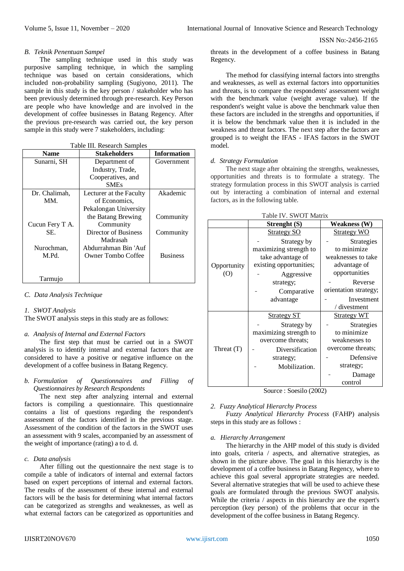ISSN No:-2456-2165

#### *B. Teknik Penentuan Sampel*

The sampling technique used in this study was purposive sampling technique, in which the sampling technique was based on certain considerations, which included non-probability sampling (Sugiyono, 2011). The sample in this study is the key person / stakeholder who has been previously determined through pre-research. Key Person are people who have knowledge and are involved in the development of coffee businesses in Batang Regency. After the previous pre-research was carried out, the key person sample in this study were 7 stakeholders, including:

| <b>Name</b>     | <b>Stakeholders</b>     | <b>Information</b> |
|-----------------|-------------------------|--------------------|
| Sunarni, SH     | Department of           | Government         |
|                 | Industry, Trade,        |                    |
|                 | Cooperatives, and       |                    |
|                 | <b>SMEs</b>             |                    |
| Dr. Chalimah,   | Lecturer at the Faculty | Akademic           |
| MM.             | of Economics.           |                    |
|                 | Pekalongan University   |                    |
|                 | the Batang Brewing      | Community          |
| Cucun Fery T A. | Community               |                    |
| SE.             | Director of Business    | Community          |
|                 | Madrasah                |                    |
| Nurochman,      | Abdurrahman Bin 'Auf    |                    |
| M.Pd.           | Owner Tombo Coffee      | <b>Business</b>    |
|                 |                         |                    |
|                 |                         |                    |
| Tarmujo         |                         |                    |

# Table III. Research Samples

#### *C. Data Analysis Technique*

# *1. SWOT Analysis*

The SWOT analysis steps in this study are as follows:

#### *a. Analysis of Internal and External Factors*

The first step that must be carried out in a SWOT analysis is to identify internal and external factors that are considered to have a positive or negative influence on the development of a coffee business in Batang Regency.

### *b. Formulation of Questionnaires and Filling of Questionnaires by Research Respondents*

The next step after analyzing internal and external factors is compiling a questionnaire. This questionnaire contains a list of questions regarding the respondent's assessment of the factors identified in the previous stage. Assessment of the condition of the factors in the SWOT uses an assessment with 9 scales, accompanied by an assessment of the weight of importance (rating) a to d. d.

#### *c. Data analysis*

After filling out the questionnaire the next stage is to compile a table of indicators of internal and external factors based on expert perceptions of internal and external factors. The results of the assessment of these internal and external factors will be the basis for determining what internal factors can be categorized as strengths and weaknesses, as well as what external factors can be categorized as opportunities and threats in the development of a coffee business in Batang Regency.

The method for classifying internal factors into strengths and weaknesses, as well as external factors into opportunities and threats, is to compare the respondents' assessment weight with the benchmark value (weight average value). If the respondent's weight value is above the benchmark value then these factors are included in the strengths and opportunities, if it is below the benchmark value then it is included in the weakness and threat factors. The next step after the factors are grouped is to weight the IFAS - IFAS factors in the SWOT model.

# *d. Strategy Formulation*

The next stage after obtaining the strengths, weaknesses, opportunities and threats is to formulate a strategy. The strategy formulation process in this SWOT analysis is carried out by interacting a combination of internal and external factors, as in the following table.

| Table IV. SWOT Matrix |  |  |
|-----------------------|--|--|
|-----------------------|--|--|

| Table IV. SWOT Matrix |                         |                       |  |
|-----------------------|-------------------------|-----------------------|--|
|                       | Strenght (S)            | <b>Weakness (W)</b>   |  |
|                       | <b>Strategy SO</b>      | <b>Strategy WO</b>    |  |
|                       | Strategy by             | Strategies            |  |
|                       | maximizing strength to  | to minimize           |  |
|                       | take advantage of       | weaknesses to take    |  |
| Opportunity           | existing opportunities; | advantage of          |  |
| (0)                   | Aggressive              | opportunities         |  |
|                       | strategy;               | Reverse               |  |
|                       | Comparative             | orientation strategy; |  |
|                       | advantage               | Investment            |  |
|                       |                         | / divestment          |  |
|                       | <b>Strategy ST</b>      | <b>Strategy WT</b>    |  |
|                       | Strategy by             | Strategies            |  |
|                       | maximizing strength to  | to minimize           |  |
|                       | overcome threats;       | weaknesses to         |  |
| Threat $(T)$          | Diversification         | overcome threats;     |  |
|                       | strategy;               | Defensive             |  |
|                       | Mobilization.           | strategy;             |  |
|                       |                         | Damage                |  |
|                       |                         | control               |  |

Source : Soesilo (2002)

# *2. Fuzzy Analytical Hierarchy Process*

*Fuzzy Analytical Hierarchy Process* (FAHP) analysis steps in this study are as follows :

#### *a. Hierarchy Arrangement*

The hierarchy in the AHP model of this study is divided into goals, criteria / aspects, and alternative strategies, as shown in the picture above. The goal in this hierarchy is the development of a coffee business in Batang Regency, where to achieve this goal several appropriate strategies are needed. Several alternative strategies that will be used to achieve these goals are formulated through the previous SWOT analysis. While the criteria / aspects in this hierarchy are the expert's perception (key person) of the problems that occur in the development of the coffee business in Batang Regency.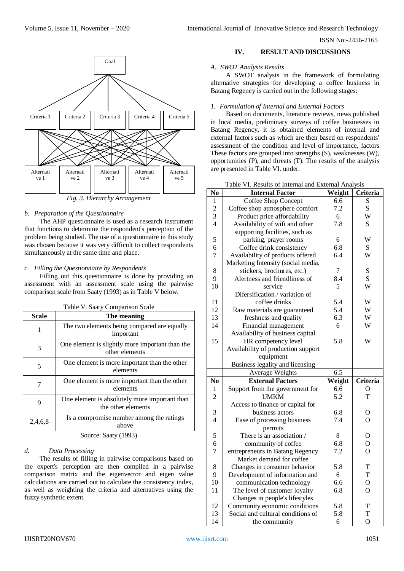

*Fig. 3. Hierarchy Arrangement*

# *b. Preparation of the Questionnaire*

The AHP questionnaire is used as a research instrument that functions to determine the respondent's perception of the problem being studied. The use of a questionnaire in this study was chosen because it was very difficult to collect respondents simultaneously at the same time and place.

# *c. Filling the Questionnaire by Respondents*

Filling out this questionnaire is done by providing an assessment with an assessment scale using the pairwise comparison scale from Saaty (1993) as in Table V below.

| Table V. Saaty Comparison Scale                              |                                                                     |  |  |
|--------------------------------------------------------------|---------------------------------------------------------------------|--|--|
| <b>Scale</b>                                                 | The meaning                                                         |  |  |
| 1                                                            | The two elements being compared are equally<br>important            |  |  |
| 3                                                            | One element is slightly more important than the<br>other elements   |  |  |
| 5                                                            | One element is more important than the other<br>elements            |  |  |
| 7                                                            | One element is more important than the other<br>elements            |  |  |
| 9                                                            | One element is absolutely more important than<br>the other elements |  |  |
| 2,4,6,8                                                      | Is a compromise number among the ratings<br>above                   |  |  |
| $\mathcal{C}_{\text{out}}$ $\mathcal{C}_{\text{out}}$ (1002) |                                                                     |  |  |

Source: Saaty (1993)

# *d. Data Processing*

The results of filling in pairwise comparisons based on the expert's perception are then compiled in a pairwise comparison matrix and the eigenvector and eigen value calculations are carried out to calculate the consistency index, as well as weighting the criteria and alternatives using the fuzzy synthetic extent.

# **IV. RESULT AND DISCUSSIONS**

## *A. SWOT Analysis Results*

A SWOT analysis in the framework of formulating alternative strategies for developing a coffee business in Batang Regency is carried out in the following stages:

### *1. Formulation of Internal and External Factors*

Based on documents, literature reviews, news published in local media, preliminary surveys of coffee businesses in Batang Regency, it is obtained elements of internal and external factors such as which are then based on respondents' assessment of the condition and level of importance, factors These factors are grouped into strengths (S), weaknesses (W), opportunities (P), and threats (T). The results of the analysis are presented in Table VI. under.

| N <sub>0</sub> | <b>Internal Factor</b>             | Weight | Criteria       |
|----------------|------------------------------------|--------|----------------|
| 1              | Coffee Shop Concept                | 6.6    | S              |
| $\overline{c}$ | Coffee shop atmosphere comfort     | 7.2    | S              |
| $\overline{3}$ | Product price affordability        | 6      | W              |
| $\overline{4}$ | Availability of wifi and other     | 7.8    | S              |
|                | supporting facilities, such as     |        |                |
| 5              | parking, prayer rooms              | 6      | W              |
| 6              | Coffee drink consistency           | 6.8    | ${\bf S}$      |
| $\overline{7}$ | Availability of products offered   | 6.4    | W              |
|                | Marketing Intensity (social media, |        |                |
| $8\,$          | stickers, brochures, etc.)         | 7      | ${\bf S}$      |
| 9              | Alertness and friendliness of      | 8.4    | S              |
| 10             | service                            | 5      | W              |
|                | Difersification / variation of     |        |                |
| 11             | coffee drinks                      | 5.4    | W              |
| 12             | Raw materials are guaranteed       | 5.4    | W              |
| 13             | freshness and quality              | 6.3    | W              |
| 14             | Financial management               | 6      | W              |
|                | Availability of business capital   |        |                |
| 15             | HR competency level                | 5.8    | W              |
|                | Availability of production support |        |                |
|                | equipment                          |        |                |
|                | Business legality and licensing    |        |                |
|                | Average Weights                    | 6.5    |                |
| N <sub>0</sub> | <b>External Factors</b>            | Weight | Criteria       |
| 1              | Support from the government for    | 6.6    | O              |
| $\overline{2}$ | <b>UMKM</b>                        | 5.2    | T              |
|                | Access to finance or capital for   |        |                |
| $\sqrt{3}$     | business actors                    | 6.8    | O              |
| $\overline{4}$ | Ease of processing business        | 7.4    | O              |
|                | permits                            |        |                |
| 5              | There is an association /          | 8      | O              |
| 6              | community of coffee                | 6.8    | $\overline{O}$ |
| $\overline{7}$ | entrepreneurs in Batang Regency    | 7.2    | $\overline{O}$ |
|                | Market demand for coffee           |        |                |
| 8              | Changes in consumer behavior       | 5.8    | T              |
| 9              | Development of information and     | 6      | T              |
| 10             | communication technology           | 6.6    | O              |
| 11             | The level of customer loyalty      | 6.8    | O              |
|                | Changes in people's lifestyles     |        |                |
| 12             | Community economic conditions      | 5.8    | T              |
| 13             | Social and cultural conditions of  | 5.8    | T              |
| 14             | the community                      | 6      | $\overline{O}$ |

|  | Table VI. Results of Internal and External Analysis |  |  |
|--|-----------------------------------------------------|--|--|
|--|-----------------------------------------------------|--|--|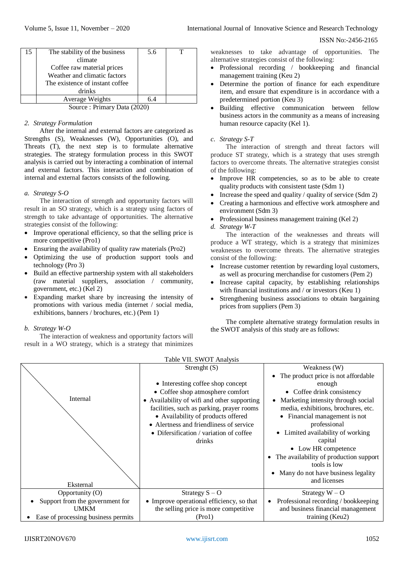| 15                          | The stability of the business   | 5.6 |  |  |
|-----------------------------|---------------------------------|-----|--|--|
|                             | climate                         |     |  |  |
|                             | Coffee raw material prices      |     |  |  |
|                             | Weather and climatic factors    |     |  |  |
|                             | The existence of instant coffee |     |  |  |
|                             | drinks                          |     |  |  |
|                             | Average Weights                 | 6.4 |  |  |
| Source: Primary Data (2020) |                                 |     |  |  |

# *2. Strategy Formulation*

After the internal and external factors are categorized as Strengths (S), Weaknesses (W), Opportunities (O), and Threats (T), the next step is to formulate alternative strategies. The strategy formulation process in this SWOT analysis is carried out by interacting a combination of internal and external factors. This interaction and combination of internal and external factors consists of the following.

# *a. Strategy S-O*

The interaction of strength and opportunity factors will result in an SO strategy, which is a strategy using factors of strength to take advantage of opportunities. The alternative strategies consist of the following:

- Improve operational efficiency, so that the selling price is more competitive (Pro1)
- Ensuring the availability of quality raw materials (Pro2)
- Optimizing the use of production support tools and technology (Pro 3)
- Build an effective partnership system with all stakeholders (raw material suppliers, association / community, government, etc.) (Kel 2)
- Expanding market share by increasing the intensity of promotions with various media (internet / social media, exhibitions, banners / brochures, etc.) (Pem 1)

# *b. Strategy W-O*

The interaction of weakness and opportunity factors will result in a WO strategy, which is a strategy that minimizes

weaknesses to take advantage of opportunities. The alternative strategies consist of the following:

- Professional recording / bookkeeping and financial management training (Keu 2)
- Determine the portion of finance for each expenditure item, and ensure that expenditure is in accordance with a predetermined portion (Keu 3)
- Building effective communication between fellow business actors in the community as a means of increasing human resource capacity (Kel 1).

# *c. Strategy S-T*

The interaction of strength and threat factors will produce ST strategy, which is a strategy that uses strength factors to overcome threats. The alternative strategies consist of the following:

- Improve HR competencies, so as to be able to create quality products with consistent taste (Sdm 1)
- Increase the speed and quality / quality of service (Sdm 2)
- Creating a harmonious and effective work atmosphere and environment (Sdm 3)
- Professional business management training (Kel 2)
- *d. Strategy W-T*

The interaction of the weaknesses and threats will produce a WT strategy, which is a strategy that minimizes weaknesses to overcome threats. The alternative strategies consist of the following:

- Increase customer retention by rewarding loyal customers, as well as procuring merchandise for customers (Pem 2)
- Increase capital capacity, by establishing relationships with financial institutions and / or investors (Keu 1)
- Strengthening business associations to obtain bargaining prices from suppliers (Pem 3)

The complete alternative strategy formulation results in the SWOT analysis of this study are as follows:

| Table VII. SWOT Analysis            |                                             |                                                   |  |  |
|-------------------------------------|---------------------------------------------|---------------------------------------------------|--|--|
|                                     | Strenght $(S)$                              | Weakness (W)                                      |  |  |
|                                     |                                             | The product price is not affordable               |  |  |
|                                     | • Interesting coffee shop concept           | enough                                            |  |  |
|                                     | • Coffee shop atmosphere comfort            | • Coffee drink consistency                        |  |  |
| Internal                            | • Availability of wifi and other supporting | Marketing intensity through social                |  |  |
|                                     | facilities, such as parking, prayer rooms   | media, exhibitions, brochures, etc.               |  |  |
|                                     | • Availability of products offered          | • Financial management is not                     |  |  |
|                                     | • Alertness and friendliness of service     | professional                                      |  |  |
|                                     | • Difersification / variation of coffee     | Limited availability of working                   |  |  |
|                                     | drinks                                      | capital                                           |  |  |
|                                     |                                             | • Low HR competence                               |  |  |
|                                     |                                             | The availability of production support            |  |  |
|                                     |                                             | tools is low                                      |  |  |
|                                     |                                             | Many do not have business legality                |  |  |
|                                     |                                             | and licenses                                      |  |  |
| Eksternal                           |                                             |                                                   |  |  |
| Opportunity (O)                     | Strategy $S - O$                            | Strategy $W - O$                                  |  |  |
| Support from the government for     | • Improve operational efficiency, so that   | Professional recording / bookkeeping<br>$\bullet$ |  |  |
| <b>UMKM</b>                         | the selling price is more competitive       | and business financial management                 |  |  |
| Ease of processing business permits | (Pro1)                                      | training (Keu2)                                   |  |  |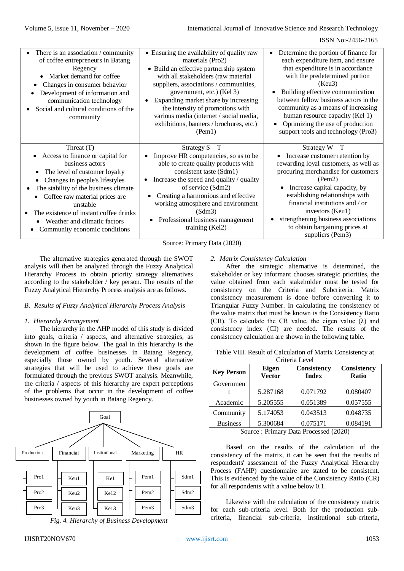| • Ensuring the availability of quality raw<br>There is an association / community<br>$\bullet$<br>materials (Pro2)<br>each expenditure item, and ensure<br>of coffee entrepreneurs in Batang<br>that expenditure is in accordance<br>Regency<br>• Build an effective partnership system<br>with the predetermined portion<br>Market demand for coffee<br>with all stakeholders (raw material<br>(Keu3)<br>suppliers, associations / communities,<br>Changes in consumer behavior<br>$\bullet$<br>government, etc.) (Kel 3)<br>Development of information and<br>$\bullet$<br>Expanding market share by increasing<br>communication technology<br>the intensity of promotions with<br>Social and cultural conditions of the<br>human resource capacity (Kel 1)<br>various media (internet / social media,<br>community<br>Optimizing the use of production<br>exhibitions, banners / brochures, etc.)<br>(Tem1)<br>Threat $(T)$<br>Strategy $S-T$<br>Strategy $W-T$<br>Access to finance or capital for<br>Improve HR competencies, so as to be<br>Increase customer retention by<br>$\bullet$<br>business actors<br>able to create quality products with<br>consistent taste (Sdm1)<br>The level of customer loyalty<br>(Pem2)<br>Increase the speed and quality / quality<br>Changes in people's lifestyles<br>of service (Sdm2)<br>Increase capital capacity, by<br>The stability of the business climate<br>$\bullet$<br>establishing relationships with<br>Creating a harmonious and effective<br>Coffee raw material prices are<br>financial institutions and / or<br>working atmosphere and environment<br>unstable<br>investors (Keu1)<br>(Sdm3)<br>The existence of instant coffee drinks<br>Professional business management<br>Weather and climatic factors<br>to obtain bargaining prices at<br>training (Kel2)<br>Community economic conditions |  |                                                                                                                                                                                                |
|-------------------------------------------------------------------------------------------------------------------------------------------------------------------------------------------------------------------------------------------------------------------------------------------------------------------------------------------------------------------------------------------------------------------------------------------------------------------------------------------------------------------------------------------------------------------------------------------------------------------------------------------------------------------------------------------------------------------------------------------------------------------------------------------------------------------------------------------------------------------------------------------------------------------------------------------------------------------------------------------------------------------------------------------------------------------------------------------------------------------------------------------------------------------------------------------------------------------------------------------------------------------------------------------------------------------------------------------------------------------------------------------------------------------------------------------------------------------------------------------------------------------------------------------------------------------------------------------------------------------------------------------------------------------------------------------------------------------------------------------------------------------------------------------------------------------------------------------------------------|--|------------------------------------------------------------------------------------------------------------------------------------------------------------------------------------------------|
|                                                                                                                                                                                                                                                                                                                                                                                                                                                                                                                                                                                                                                                                                                                                                                                                                                                                                                                                                                                                                                                                                                                                                                                                                                                                                                                                                                                                                                                                                                                                                                                                                                                                                                                                                                                                                                                             |  | Determine the portion of finance for<br>Building effective communication<br>between fellow business actors in the<br>community as a means of increasing<br>support tools and technology (Pro3) |
|                                                                                                                                                                                                                                                                                                                                                                                                                                                                                                                                                                                                                                                                                                                                                                                                                                                                                                                                                                                                                                                                                                                                                                                                                                                                                                                                                                                                                                                                                                                                                                                                                                                                                                                                                                                                                                                             |  | rewarding loyal customers, as well as<br>procuring merchandise for customers<br>strengthening business associations<br>suppliers (Pem3)                                                        |

Source: Primary Data (2020)

The alternative strategies generated through the SWOT analysis will then be analyzed through the Fuzzy Analytical Hierarchy Process to obtain priority strategy alternatives according to the stakeholder / key person. The results of the Fuzzy Analytical Hierarchy Process analysis are as follows.

# *B. Results of Fuzzy Analytical Hierarchy Process Analysis*

#### *1. Hierarchy Arrangement*

The hierarchy in the AHP model of this study is divided into goals, criteria / aspects, and alternative strategies, as shown in the figure below. The goal in this hierarchy is the development of coffee businesses in Batang Regency, especially those owned by youth. Several alternative strategies that will be used to achieve these goals are formulated through the previous SWOT analysis. Meanwhile, the criteria / aspects of this hierarchy are expert perceptions of the problems that occur in the development of coffee businesses owned by youth in Batang Regency.





# *2. Matrix Consistency Calculation*

After the strategic alternative is determined, the stakeholder or key informant chooses strategic priorities, the value obtained from each stakeholder must be tested for consistency on the Criteria and Subcriteria. Matrix consistency measurement is done before converting it to Triangular Fuzzy Number. In calculating the consistency of the value matrix that must be known is the Consistency Ratio (CR). To calculate the CR value, the eigen value  $(\lambda)$  and consistency index (CI) are needed. The results of the consistency calculation are shown in the following table.

|  | Table VIII. Result of Calculation of Matrix Consistency at |  |  |
|--|------------------------------------------------------------|--|--|
|  |                                                            |  |  |

| <b>Key Person</b> | <b>Eigen</b><br><b>Vector</b> | Consistency<br><b>Index</b>    | Consistency<br>Ratio |
|-------------------|-------------------------------|--------------------------------|----------------------|
| Governmen         |                               |                                |                      |
|                   | 5.287168                      | 0.071792                       | 0.080407             |
| Academic          | 5.205555                      | 0.051389                       | 0.057555             |
| Community         | 5.174053                      | 0.043513                       | 0.048735             |
| <b>Business</b>   | 5.300684                      | 0.075171                       | 0.084191             |
| $\sim$            | $\mathbf{r}$ .                | $\mathbf{r}$<br>$\blacksquare$ | 1/0000               |

Source : Primary Data Processed (2020)

Based on the results of the calculation of the consistency of the matrix, it can be seen that the results of respondents' assessment of the Fuzzy Analytical Hierarchy Process (FAHP) questionnaire are stated to be consistent. This is evidenced by the value of the Consistency Ratio (CR) for all respondents with a value below 0.1.

Likewise with the calculation of the consistency matrix for each sub-criteria level. Both for the production subcriteria, financial sub-criteria, institutional sub-criteria,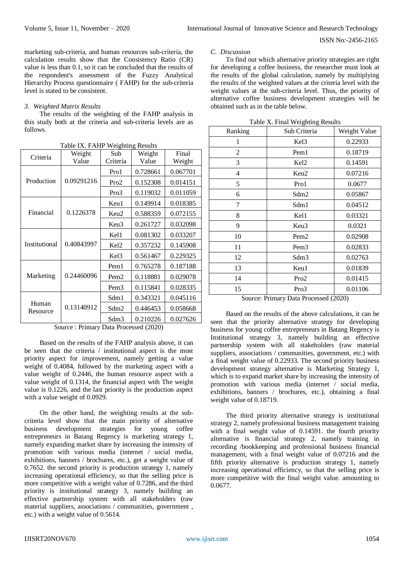marketing sub-criteria, and human resources sub-criteria, the calculation results show that the Consistency Ratio (CR) value is less than 0.1, so it can be concluded that the results of the respondent's assessment of the Fuzzy Analytical Hierarchy Process questionnaire ( FAHP) for the sub-criteria level is stated to be consistent.

# *3. Weighted Matrix Results*

The results of the weighting of the FAHP analysis in this study both at the criteria and sub-criteria levels are as follows.

| Criteria          | Weight<br>Value | Sub<br>Criteria  | Weight<br>Value | Final    |
|-------------------|-----------------|------------------|-----------------|----------|
|                   |                 |                  |                 | Weight   |
|                   | 0.09291216      | Pro1             | 0.728661        | 0.067701 |
| Production        |                 | Pro2             | 0.152308        | 0.014151 |
|                   |                 | Pro3             | 0.119032        | 0.011059 |
|                   |                 | Keu1             | 0.149914        | 0.018385 |
| Financial         | 0.1226378       | Keu2             | 0.588359        | 0.072155 |
|                   |                 | Keu3             | 0.261727        | 0.032098 |
| Institutional     | 0.40843997      | Kel1             | 0.081302        | 0.033207 |
|                   |                 | Kel <sub>2</sub> | 0.357232        | 0.145908 |
|                   |                 | Kel <sub>3</sub> | 0.561467        | 0.229325 |
| Marketing         |                 | Pem <sub>1</sub> | 0.765278        | 0.187188 |
|                   | 0.24460096      | Pem <sub>2</sub> | 0.118881        | 0.029078 |
|                   |                 | Pem <sub>3</sub> | 0.115841        | 0.028335 |
| Human<br>Resource | 0.13140912      | Sdm1             | 0.343321        | 0.045116 |
|                   |                 | Sdm2             | 0.446453        | 0.058668 |
|                   |                 | Sdm3             | 0.210226        | 0.027626 |

Table IX. FAHP Weighting Results

Source : Primary Data Processed (2020)

Based on the results of the FAHP analysis above, it can be seen that the criteria / institutional aspect is the most priority aspect for improvement, namely getting a value weight of 0.4084, followed by the marketing aspect with a value weight of 0.2446, the human resource aspect with a value weight of 0.1314, the financial aspect with The weight value is 0.1226, and the last priority is the production aspect with a value weight of 0.0929.

On the other hand, the weighting results at the subcriteria level show that the main priority of alternative business development strategies for young coffee entrepreneurs in Batang Regency is marketing strategy 1, namely expanding market share by increasing the intensity of promotion with various media (internet / social media, exhibitions, banners / brochures, etc.), get a weight value of 0.7652. the second priority is production strategy 1, namely increasing operational efficiency, so that the selling price is more competitive with a weight value of 0.7286, and the third priority is institutional strategy 3, namely building an effective partnership system with all stakeholders (raw material suppliers, associations / communities, government , etc.) with a weight value of 0.5614.

#### *C. Discussion*

To find out which alternative priority strategies are right for developing a coffee business, the researcher must look at the results of the global calculation, namely by multiplying the results of the weighted values at the criteria level with the weight values at the sub-criteria level. Thus, the priority of alternative coffee business development strategies will be obtained such as in the table below.

| Ranking                               | Sub Criteria     | Weight Value |  |
|---------------------------------------|------------------|--------------|--|
| 1                                     | Kel3             | 0.22933      |  |
| 2                                     | Pem1             | 0.18719      |  |
| 3                                     | Kel <sub>2</sub> | 0.14591      |  |
| 4                                     | Keu2             | 0.07216      |  |
| 5                                     | Pro1             | 0.0677       |  |
| 6                                     | Sdm2             | 0.05867      |  |
| 7                                     | Sdm1             | 0.04512      |  |
| 8                                     | Kel1             | 0.03321      |  |
| 9                                     | Keu3             | 0.0321       |  |
| 10                                    | Pem <sub>2</sub> | 0.02908      |  |
| 11                                    | Pem <sub>3</sub> | 0.02833      |  |
| 12                                    | Sdm3             | 0.02763      |  |
| 13                                    | Keu1             | 0.01839      |  |
| 14                                    | Pro2             | 0.01415      |  |
| 15                                    | Pro3             | 0.01106      |  |
| Course Drimery Deta Drossessed (2020) |                  |              |  |

Table X. Final Weighting Results

Source: Primary Data Processed (2020)

Based on the results of the above calculations, it can be seen that the priority alternative strategy for developing business for young coffee entrepreneurs in Batang Regency is Institutional strategy 3, namely building an effective partnership system with all stakeholders (raw material suppliers, associations / communities, government, etc.) with a final weight value of 0.22933. The second priority business development strategy alternative is Marketing Strategy 1, which is to expand market share by increasing the intensity of promotion with various media (internet / social media, exhibitions, banners / brochures, etc.), obtaining a final weight value of 0.18719.

The third priority alternative strategy is institutional strategy 2, namely professional business management training with a final weight value of 0.14591. the fourth priority alternative is financial strategy 2, namely training in recording /bookkeeping and professional business financial management, with a final weight value of 0.07216 and the fifth priority alternative is production strategy 1, namely increasing operational efficiency, so that the selling price is more competitive with the final weight value. amounting to 0.0677.